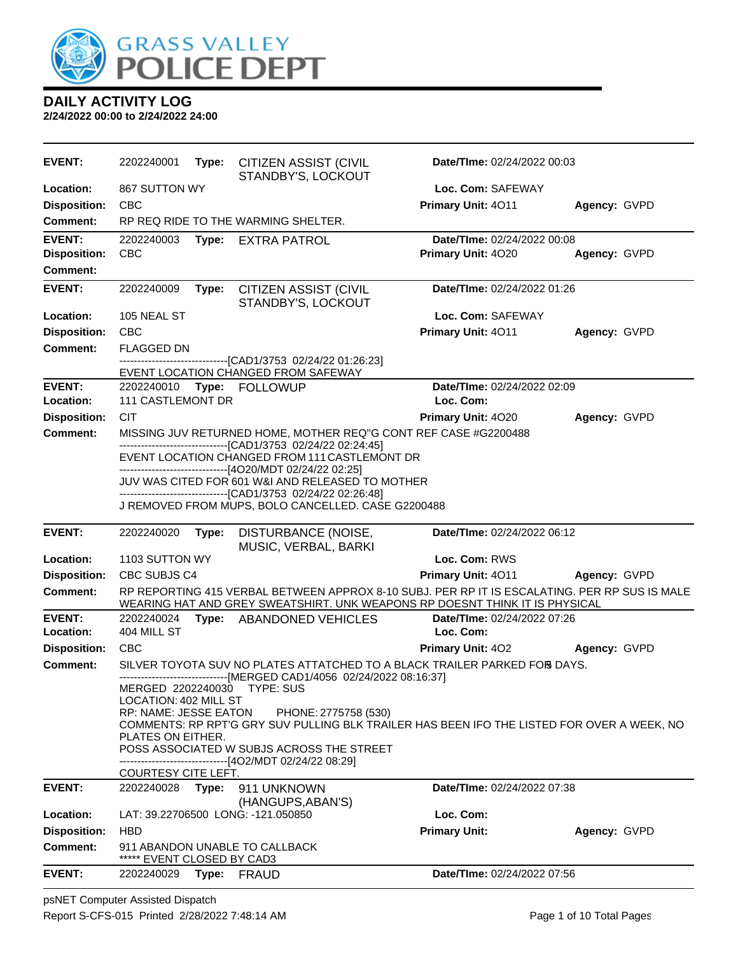

**2/24/2022 00:00 to 2/24/2022 24:00**

| <b>EVENT:</b>       | 2202240001                                     |       | Type: CITIZEN ASSIST (CIVIL<br>STANDBY'S, LOCKOUT                                                                                                                            | Date/TIme: 02/24/2022 00:03 |              |
|---------------------|------------------------------------------------|-------|------------------------------------------------------------------------------------------------------------------------------------------------------------------------------|-----------------------------|--------------|
| <b>Location:</b>    | 867 SUTTON WY                                  |       |                                                                                                                                                                              | Loc. Com: SAFEWAY           |              |
| <b>Disposition:</b> | <b>CBC</b>                                     |       |                                                                                                                                                                              | Primary Unit: 4011          | Agency: GVPD |
| Comment:            |                                                |       | RP REQ RIDE TO THE WARMING SHELTER.                                                                                                                                          |                             |              |
| <b>EVENT:</b>       | 2202240003                                     | Type: | <b>EXTRA PATROL</b>                                                                                                                                                          | Date/TIme: 02/24/2022 00:08 |              |
| <b>Disposition:</b> | <b>CBC</b>                                     |       |                                                                                                                                                                              | Primary Unit: 4020          | Agency: GVPD |
| <b>Comment:</b>     |                                                |       |                                                                                                                                                                              |                             |              |
| <b>EVENT:</b>       | 2202240009                                     | Type: | <b>CITIZEN ASSIST (CIVIL</b><br>STANDBY'S, LOCKOUT                                                                                                                           | Date/TIme: 02/24/2022 01:26 |              |
| Location:           | 105 NEAL ST                                    |       |                                                                                                                                                                              | Loc. Com: SAFEWAY           |              |
| <b>Disposition:</b> | CBC                                            |       |                                                                                                                                                                              | Primary Unit: 4011          | Agency: GVPD |
| <b>Comment:</b>     | <b>FLAGGED DN</b>                              |       |                                                                                                                                                                              |                             |              |
|                     |                                                |       | -------------------------------[CAD1/3753_02/24/22_01:26:23]                                                                                                                 |                             |              |
| <b>EVENT:</b>       |                                                |       | EVENT LOCATION CHANGED FROM SAFEWAY<br>2202240010 Type: FOLLOWUP                                                                                                             | Date/TIme: 02/24/2022 02:09 |              |
| Location:           | <b>111 CASTLEMONT DR</b>                       |       |                                                                                                                                                                              | Loc. Com:                   |              |
| <b>Disposition:</b> | <b>CIT</b>                                     |       |                                                                                                                                                                              | Primary Unit: 4020          | Agency: GVPD |
| Comment:            |                                                |       | MISSING JUV RETURNED HOME, MOTHER REQ"G CONT REF CASE #G2200488                                                                                                              |                             |              |
|                     |                                                |       | -------------------------------[CAD1/3753 02/24/22 02:24:45]                                                                                                                 |                             |              |
|                     |                                                |       | EVENT LOCATION CHANGED FROM 111 CASTLEMONT DR<br>-------------------------------[4O20/MDT 02/24/22 02:25]                                                                    |                             |              |
|                     |                                                |       | JUV WAS CITED FOR 601 W&I AND RELEASED TO MOTHER                                                                                                                             |                             |              |
|                     |                                                |       | -------------------------------[CAD1/3753 02/24/22 02:26:48]<br>J REMOVED FROM MUPS, BOLO CANCELLED. CASE G2200488                                                           |                             |              |
|                     |                                                |       |                                                                                                                                                                              |                             |              |
| <b>EVENT:</b>       | 2202240020                                     | Type: | DISTURBANCE (NOISE,<br>MUSIC, VERBAL, BARKI                                                                                                                                  | Date/TIme: 02/24/2022 06:12 |              |
| Location:           | 1103 SUTTON WY                                 |       |                                                                                                                                                                              | Loc. Com: RWS               |              |
| <b>Disposition:</b> | CBC SUBJS C4                                   |       |                                                                                                                                                                              | Primary Unit: 4011          | Agency: GVPD |
| <b>Comment:</b>     |                                                |       | RP REPORTING 415 VERBAL BETWEEN APPROX 8-10 SUBJ. PER RP IT IS ESCALATING. PER RP SUS IS MALE<br>WEARING HAT AND GREY SWEATSHIRT. UNK WEAPONS RP DOESNT THINK IT IS PHYSICAL |                             |              |
| <b>EVENT:</b>       | 2202240024                                     |       | Type: ABANDONED VEHICLES                                                                                                                                                     | Date/TIme: 02/24/2022 07:26 |              |
| Location:           | 404 MILL ST                                    |       |                                                                                                                                                                              | Loc. Com:                   |              |
| <b>Disposition:</b> | CBC                                            |       |                                                                                                                                                                              | Primary Unit: 402           | Agency: GVPD |
| <b>Comment:</b>     |                                                |       | SILVER TOYOTA SUV NO PLATES ATTATCHED TO A BLACK TRAILER PARKED FOR DAYS.<br>------------------------------[MERGED CAD1/4056 02/24/2022 08:16:37]                            |                             |              |
|                     |                                                |       | MERGED 2202240030 TYPE: SUS                                                                                                                                                  |                             |              |
|                     | LOCATION: 402 MILL ST<br>RP: NAME: JESSE EATON |       | PHONE: 2775758 (530)                                                                                                                                                         |                             |              |
|                     |                                                |       | COMMENTS: RP RPT'G GRY SUV PULLING BLK TRAILER HAS BEEN IFO THE LISTED FOR OVER A WEEK, NO                                                                                   |                             |              |
|                     | PLATES ON EITHER.                              |       |                                                                                                                                                                              |                             |              |
|                     |                                                |       | POSS ASSOCIATED W SUBJS ACROSS THE STREET<br>-------------------------------[4O2/MDT 02/24/22 08:29]                                                                         |                             |              |
|                     | <u>COURTESY CITE LEFT.</u>                     |       |                                                                                                                                                                              |                             |              |
| <b>EVENT:</b>       | 2202240028                                     | Type: | 911 UNKNOWN                                                                                                                                                                  | Date/TIme: 02/24/2022 07:38 |              |
| Location:           |                                                |       | (HANGUPS, ABAN'S)<br>LAT: 39.22706500 LONG: -121.050850                                                                                                                      | Loc. Com:                   |              |
| <b>Disposition:</b> |                                                |       |                                                                                                                                                                              |                             |              |
|                     |                                                |       |                                                                                                                                                                              |                             |              |
|                     | <b>HBD</b>                                     |       |                                                                                                                                                                              | <b>Primary Unit:</b>        | Agency: GVPD |
| <b>Comment:</b>     | ***** EVENT CLOSED BY CAD3                     |       | 911 ABANDON UNABLE TO CALLBACK                                                                                                                                               |                             |              |

psNET Computer Assisted Dispatch Report S-CFS-015 Printed 2/28/2022 7:48:14 AM Page 1 of 10 Total Pages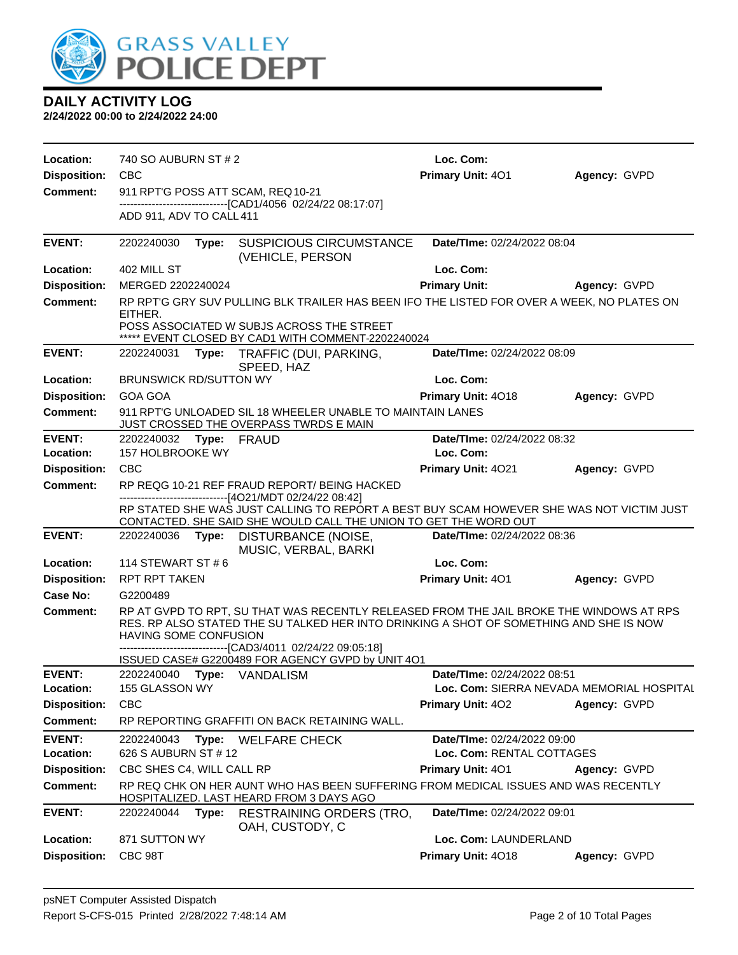

| Location:<br><b>Disposition:</b> | 740 SO AUBURN ST # 2<br><b>CBC</b> |       |                                                                                                                                                                                                                                                                                                        | Loc. Com:<br>Primary Unit: 401            | Agency: GVPD |
|----------------------------------|------------------------------------|-------|--------------------------------------------------------------------------------------------------------------------------------------------------------------------------------------------------------------------------------------------------------------------------------------------------------|-------------------------------------------|--------------|
| <b>Comment:</b>                  | 911 RPT'G POSS ATT SCAM, REQ 10-21 |       |                                                                                                                                                                                                                                                                                                        |                                           |              |
|                                  |                                    |       | -------------------------------[CAD1/4056 02/24/22 08:17:07]                                                                                                                                                                                                                                           |                                           |              |
|                                  | ADD 911, ADV TO CALL 411           |       |                                                                                                                                                                                                                                                                                                        |                                           |              |
| <b>EVENT:</b>                    | 2202240030                         | Type: | <b>SUSPICIOUS CIRCUMSTANCE</b><br>(VEHICLE, PERSON                                                                                                                                                                                                                                                     | Date/TIme: 02/24/2022 08:04               |              |
| Location:                        | 402 MILL ST                        |       |                                                                                                                                                                                                                                                                                                        | Loc. Com:                                 |              |
| <b>Disposition:</b>              | MERGED 2202240024                  |       |                                                                                                                                                                                                                                                                                                        | <b>Primary Unit:</b>                      | Agency: GVPD |
| <b>Comment:</b>                  | EITHER.                            |       | RP RPT'G GRY SUV PULLING BLK TRAILER HAS BEEN IFO THE LISTED FOR OVER A WEEK, NO PLATES ON                                                                                                                                                                                                             |                                           |              |
|                                  |                                    |       | POSS ASSOCIATED W SUBJS ACROSS THE STREET<br>***** EVENT CLOSED BY CAD1 WITH COMMENT-2202240024                                                                                                                                                                                                        |                                           |              |
| <b>EVENT:</b>                    | 2202240031                         |       | Type: TRAFFIC (DUI, PARKING,<br>SPEED, HAZ                                                                                                                                                                                                                                                             | Date/TIme: 02/24/2022 08:09               |              |
| Location:                        | <b>BRUNSWICK RD/SUTTON WY</b>      |       |                                                                                                                                                                                                                                                                                                        | Loc. Com:                                 |              |
| <b>Disposition:</b>              | <b>GOA GOA</b>                     |       |                                                                                                                                                                                                                                                                                                        | <b>Primary Unit: 4018</b>                 | Agency: GVPD |
| <b>Comment:</b>                  |                                    |       | 911 RPT'G UNLOADED SIL 18 WHEELER UNABLE TO MAINTAIN LANES<br>JUST CROSSED THE OVERPASS TWRDS E MAIN                                                                                                                                                                                                   |                                           |              |
| <b>EVENT:</b>                    | 2202240032 Type: FRAUD             |       |                                                                                                                                                                                                                                                                                                        | Date/TIme: 02/24/2022 08:32               |              |
| Location:                        | 157 HOLBROOKE WY                   |       |                                                                                                                                                                                                                                                                                                        | Loc. Com:                                 |              |
| <b>Disposition:</b>              | <b>CBC</b>                         |       |                                                                                                                                                                                                                                                                                                        | Primary Unit: 4021                        | Agency: GVPD |
| <b>Comment:</b>                  |                                    |       | RP REQG 10-21 REF FRAUD REPORT/ BEING HACKED<br>------------------------------[4O21/MDT 02/24/22 08:42]                                                                                                                                                                                                |                                           |              |
|                                  |                                    |       | RP STATED SHE WAS JUST CALLING TO REPORT A BEST BUY SCAM HOWEVER SHE WAS NOT VICTIM JUST<br>CONTACTED. SHE SAID SHE WOULD CALL THE UNION TO GET THE WORD OUT                                                                                                                                           |                                           |              |
| <b>EVENT:</b>                    |                                    |       | 2202240036 Type: DISTURBANCE (NOISE,<br>MUSIC, VERBAL, BARKI                                                                                                                                                                                                                                           | Date/TIme: 02/24/2022 08:36               |              |
| Location:                        | 114 STEWART ST # 6                 |       |                                                                                                                                                                                                                                                                                                        | Loc. Com:                                 |              |
| <b>Disposition:</b>              | RPT RPT TAKEN                      |       |                                                                                                                                                                                                                                                                                                        | <b>Primary Unit: 401</b>                  | Agency: GVPD |
| Case No:                         | G2200489                           |       |                                                                                                                                                                                                                                                                                                        |                                           |              |
| Comment:                         | HAVING SOME CONFUSION              |       | RP AT GVPD TO RPT, SU THAT WAS RECENTLY RELEASED FROM THE JAIL BROKE THE WINDOWS AT RPS<br>RES. RP ALSO STATED THE SU TALKED HER INTO DRINKING A SHOT OF SOMETHING AND SHE IS NOW<br>-------------------------------[CAD3/4011 02/24/22 09:05:18]<br>ISSUED CASE# G2200489 FOR AGENCY GVPD by UNIT 4O1 |                                           |              |
| <b>EVENT:</b>                    |                                    |       | 2202240040 Type: VANDALISM                                                                                                                                                                                                                                                                             | Date/TIme: 02/24/2022 08:51               |              |
| Location:                        | 155 GLASSON WY                     |       |                                                                                                                                                                                                                                                                                                        | Loc. Com: SIERRA NEVADA MEMORIAL HOSPITAL |              |
| <b>Disposition:</b>              | <b>CBC</b>                         |       |                                                                                                                                                                                                                                                                                                        | <b>Primary Unit: 402</b>                  | Agency: GVPD |
| <b>Comment:</b>                  |                                    |       | RP REPORTING GRAFFITI ON BACK RETAINING WALL.                                                                                                                                                                                                                                                          |                                           |              |
| <b>EVENT:</b>                    | 2202240043                         |       | Type: WELFARE CHECK                                                                                                                                                                                                                                                                                    | Date/TIme: 02/24/2022 09:00               |              |
| Location:                        | 626 S AUBURN ST # 12               |       |                                                                                                                                                                                                                                                                                                        | Loc. Com: RENTAL COTTAGES                 |              |
| <b>Disposition:</b>              | CBC SHES C4, WILL CALL RP          |       |                                                                                                                                                                                                                                                                                                        | <b>Primary Unit: 401</b>                  | Agency: GVPD |
| <b>Comment:</b>                  |                                    |       | RP REQ CHK ON HER AUNT WHO HAS BEEN SUFFERING FROM MEDICAL ISSUES AND WAS RECENTLY<br>HOSPITALIZED. LAST HEARD FROM 3 DAYS AGO                                                                                                                                                                         |                                           |              |
| <b>EVENT:</b>                    | 2202240044 Type:                   |       | <b>RESTRAINING ORDERS (TRO,</b><br>OAH, CUSTODY, C                                                                                                                                                                                                                                                     | Date/TIme: 02/24/2022 09:01               |              |
| Location:                        | 871 SUTTON WY                      |       |                                                                                                                                                                                                                                                                                                        | Loc. Com: LAUNDERLAND                     |              |
| <b>Disposition:</b>              | CBC 98T                            |       |                                                                                                                                                                                                                                                                                                        | Primary Unit: 4018                        | Agency: GVPD |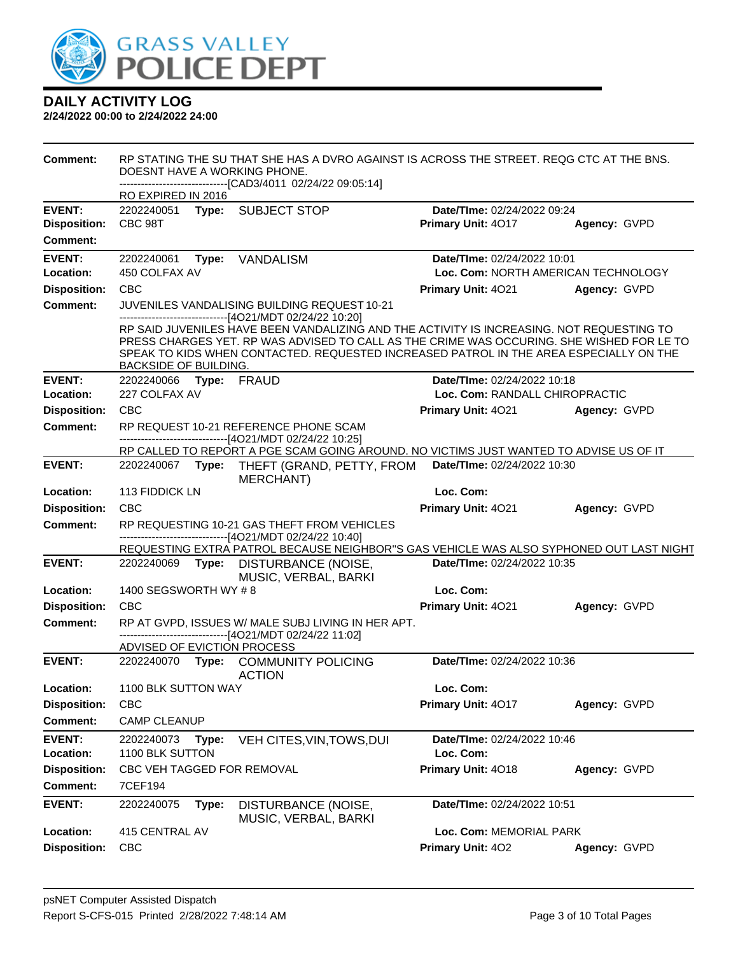

| <b>Comment:</b>     |                             |       | RP STATING THE SU THAT SHE HAS A DVRO AGAINST IS ACROSS THE STREET. REQG CTC AT THE BNS.<br>DOESNT HAVE A WORKING PHONE.<br>------------------------------[CAD3/4011 02/24/22 09:05:14]                                                                                                                                                     |                                     |              |
|---------------------|-----------------------------|-------|---------------------------------------------------------------------------------------------------------------------------------------------------------------------------------------------------------------------------------------------------------------------------------------------------------------------------------------------|-------------------------------------|--------------|
|                     | RO EXPIRED IN 2016          |       |                                                                                                                                                                                                                                                                                                                                             |                                     |              |
| <b>EVENT:</b>       |                             |       | 2202240051 Type: SUBJECT STOP                                                                                                                                                                                                                                                                                                               | Date/TIme: 02/24/2022 09:24         |              |
| <b>Disposition:</b> | CBC 98T                     |       |                                                                                                                                                                                                                                                                                                                                             | Primary Unit: 4017                  | Agency: GVPD |
| <b>Comment:</b>     |                             |       |                                                                                                                                                                                                                                                                                                                                             |                                     |              |
| <b>EVENT:</b>       | 2202240061                  | Type: | VANDALISM                                                                                                                                                                                                                                                                                                                                   | Date/TIme: 02/24/2022 10:01         |              |
| Location:           | 450 COLFAX AV               |       |                                                                                                                                                                                                                                                                                                                                             | Loc. Com: NORTH AMERICAN TECHNOLOGY |              |
| <b>Disposition:</b> | <b>CBC</b>                  |       |                                                                                                                                                                                                                                                                                                                                             | <b>Primary Unit: 4021</b>           | Agency: GVPD |
| <b>Comment:</b>     |                             |       | JUVENILES VANDALISING BUILDING REQUEST 10-21                                                                                                                                                                                                                                                                                                |                                     |              |
|                     | BACKSIDE OF BUILDING.       |       | ------------------------------[4O21/MDT 02/24/22 10:20]<br>RP SAID JUVENILES HAVE BEEN VANDALIZING AND THE ACTIVITY IS INCREASING. NOT REQUESTING TO<br>PRESS CHARGES YET. RP WAS ADVISED TO CALL AS THE CRIME WAS OCCURING. SHE WISHED FOR LE TO<br>SPEAK TO KIDS WHEN CONTACTED. REQUESTED INCREASED PATROL IN THE AREA ESPECIALLY ON THE |                                     |              |
| <b>EVENT:</b>       | 2202240066 Type: FRAUD      |       |                                                                                                                                                                                                                                                                                                                                             | Date/TIme: 02/24/2022 10:18         |              |
| Location:           | 227 COLFAX AV               |       |                                                                                                                                                                                                                                                                                                                                             | Loc. Com: RANDALL CHIROPRACTIC      |              |
| <b>Disposition:</b> | <b>CBC</b>                  |       |                                                                                                                                                                                                                                                                                                                                             | <b>Primary Unit: 4021</b>           | Agency: GVPD |
| <b>Comment:</b>     |                             |       | RP REQUEST 10-21 REFERENCE PHONE SCAM                                                                                                                                                                                                                                                                                                       |                                     |              |
|                     |                             |       | ------------------------------[4O21/MDT 02/24/22 10:25]<br>RP CALLED TO REPORT A PGE SCAM GOING AROUND. NO VICTIMS JUST WANTED TO ADVISE US OF IT                                                                                                                                                                                           |                                     |              |
| <b>EVENT:</b>       |                             |       | 2202240067 Type: THEFT (GRAND, PETTY, FROM<br><b>MERCHANT)</b>                                                                                                                                                                                                                                                                              | Date/TIme: 02/24/2022 10:30         |              |
| Location:           | 113 FIDDICK LN              |       |                                                                                                                                                                                                                                                                                                                                             | Loc. Com:                           |              |
| <b>Disposition:</b> | <b>CBC</b>                  |       |                                                                                                                                                                                                                                                                                                                                             | Primary Unit: 4021                  | Agency: GVPD |
| <b>Comment:</b>     |                             |       | RP REQUESTING 10-21 GAS THEFT FROM VEHICLES                                                                                                                                                                                                                                                                                                 |                                     |              |
|                     |                             |       | ------------------------------[4O21/MDT 02/24/22 10:40]<br>REQUESTING EXTRA PATROL BECAUSE NEIGHBOR"S GAS VEHICLE WAS ALSO SYPHONED OUT LAST NIGHT                                                                                                                                                                                          |                                     |              |
| <b>EVENT:</b>       |                             |       | 2202240069 Type: DISTURBANCE (NOISE,                                                                                                                                                                                                                                                                                                        | Date/TIme: 02/24/2022 10:35         |              |
|                     |                             |       | MUSIC, VERBAL, BARKI                                                                                                                                                                                                                                                                                                                        |                                     |              |
| Location:           | 1400 SEGSWORTH WY #8        |       |                                                                                                                                                                                                                                                                                                                                             | Loc. Com:                           |              |
| <b>Disposition:</b> | CBC                         |       |                                                                                                                                                                                                                                                                                                                                             | Primary Unit: 4021                  | Agency: GVPD |
| Comment:            |                             |       | RP AT GVPD, ISSUES W/ MALE SUBJ LIVING IN HER APT.                                                                                                                                                                                                                                                                                          |                                     |              |
|                     | ADVISED OF EVICTION PROCESS |       | ------------------------------[4O21/MDT 02/24/22 11:02]                                                                                                                                                                                                                                                                                     |                                     |              |
| <b>EVENT:</b>       |                             |       | 2202240070 Type: COMMUNITY POLICING                                                                                                                                                                                                                                                                                                         | Date/TIme: 02/24/2022 10:36         |              |
|                     |                             |       | <b>ACTION</b>                                                                                                                                                                                                                                                                                                                               |                                     |              |
| Location:           | 1100 BLK SUTTON WAY         |       |                                                                                                                                                                                                                                                                                                                                             | Loc. Com:                           |              |
| <b>Disposition:</b> | <b>CBC</b>                  |       |                                                                                                                                                                                                                                                                                                                                             | Primary Unit: 4017                  | Agency: GVPD |
| <b>Comment:</b>     | <b>CAMP CLEANUP</b>         |       |                                                                                                                                                                                                                                                                                                                                             |                                     |              |
| <b>EVENT:</b>       | 2202240073                  | Type: | VEH CITES, VIN, TOWS, DUI                                                                                                                                                                                                                                                                                                                   | Date/TIme: 02/24/2022 10:46         |              |
| Location:           | 1100 BLK SUTTON             |       |                                                                                                                                                                                                                                                                                                                                             | Loc. Com:                           |              |
| <b>Disposition:</b> | CBC VEH TAGGED FOR REMOVAL  |       |                                                                                                                                                                                                                                                                                                                                             | Primary Unit: 4018                  | Agency: GVPD |
| <b>Comment:</b>     | 7CEF194                     |       |                                                                                                                                                                                                                                                                                                                                             |                                     |              |
| <b>EVENT:</b>       | 2202240075                  | Type: | DISTURBANCE (NOISE,<br>MUSIC, VERBAL, BARKI                                                                                                                                                                                                                                                                                                 | Date/TIme: 02/24/2022 10:51         |              |
| Location:           | 415 CENTRAL AV              |       |                                                                                                                                                                                                                                                                                                                                             | Loc. Com: MEMORIAL PARK             |              |
| <b>Disposition:</b> | <b>CBC</b>                  |       |                                                                                                                                                                                                                                                                                                                                             | Primary Unit: 402                   | Agency: GVPD |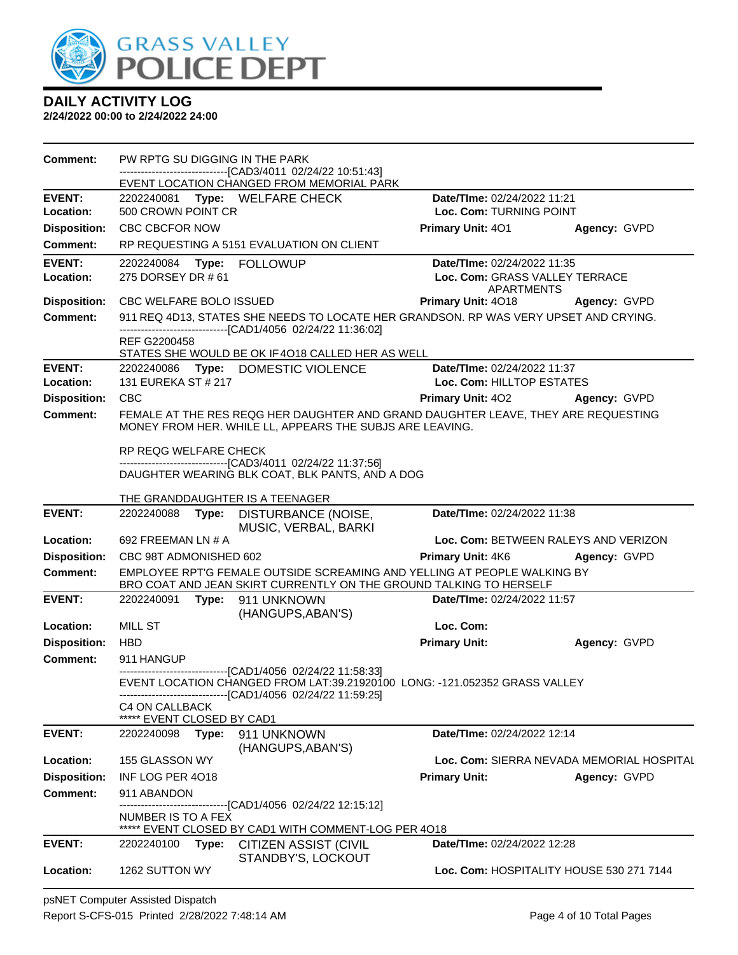

**2/24/2022 00:00 to 2/24/2022 24:00**

| <b>Comment:</b>     | PW RPTG SU DIGGING IN THE PARK                      | -------------------------[CAD3/4011 02/24/22 10:51:43]                                                                                               |                                              |                                           |
|---------------------|-----------------------------------------------------|------------------------------------------------------------------------------------------------------------------------------------------------------|----------------------------------------------|-------------------------------------------|
|                     |                                                     | EVENT LOCATION CHANGED FROM MEMORIAL PARK                                                                                                            |                                              |                                           |
| <b>EVENT:</b>       |                                                     | 2202240081 Type: WELFARE CHECK                                                                                                                       | Date/TIme: 02/24/2022 11:21                  |                                           |
| Location:           | 500 CROWN POINT CR                                  |                                                                                                                                                      | Loc. Com: TURNING POINT                      |                                           |
| <b>Disposition:</b> | <b>CBC CBCFOR NOW</b>                               |                                                                                                                                                      | <b>Primary Unit: 401</b>                     | Agency: GVPD                              |
| <b>Comment:</b>     |                                                     | RP REQUESTING A 5151 EVALUATION ON CLIENT                                                                                                            |                                              |                                           |
| <b>EVENT:</b>       |                                                     |                                                                                                                                                      | Date/TIme: 02/24/2022 11:35                  |                                           |
| Location:           | 275 DORSEY DR # 61                                  |                                                                                                                                                      | Loc. Com: GRASS VALLEY TERRACE<br>APARTMENTS |                                           |
|                     | Disposition: CBC WELFARE BOLO ISSUED                |                                                                                                                                                      | <b>Primary Unit: 4018</b>                    | Agency: GVPD                              |
| <b>Comment:</b>     |                                                     | 911 REQ 4D13, STATES SHE NEEDS TO LOCATE HER GRANDSON. RP WAS VERY UPSET AND CRYING.<br>-------------------------------[CAD1/4056 02/24/22 11:36:02] |                                              |                                           |
|                     | REF G2200458                                        | STATES SHE WOULD BE OK IF 4018 CALLED HER AS WELL                                                                                                    |                                              |                                           |
| <b>EVENT:</b>       |                                                     | 2202240086 Type: DOMESTIC VIOLENCE                                                                                                                   | Date/TIme: 02/24/2022 11:37                  |                                           |
| Location:           | 131 EUREKA ST # 217                                 |                                                                                                                                                      | Loc. Com: HILLTOP ESTATES                    |                                           |
| <b>Disposition:</b> | <b>CBC</b>                                          |                                                                                                                                                      | <b>Primary Unit: 402</b>                     | Agency: GVPD                              |
| <b>Comment:</b>     |                                                     | FEMALE AT THE RES REQG HER DAUGHTER AND GRAND DAUGHTER LEAVE, THEY ARE REQUESTING<br>MONEY FROM HER. WHILE LL, APPEARS THE SUBJS ARE LEAVING.        |                                              |                                           |
|                     | RP REQG WELFARE CHECK                               | --------------------------------[CAD3/4011 02/24/22 11:37:56]                                                                                        |                                              |                                           |
|                     |                                                     | DAUGHTER WEARING BLK COAT, BLK PANTS, AND A DOG                                                                                                      |                                              |                                           |
|                     | THE GRANDDAUGHTER IS A TEENAGER                     |                                                                                                                                                      |                                              |                                           |
| <b>EVENT:</b>       |                                                     | 2202240088 Type: DISTURBANCE (NOISE,                                                                                                                 | Date/TIme: 02/24/2022 11:38                  |                                           |
| Location:           | 692 FREEMAN LN # A                                  | MUSIC, VERBAL, BARKI                                                                                                                                 |                                              | Loc. Com: BETWEEN RALEYS AND VERIZON      |
| <b>Disposition:</b> | CBC 98T ADMONISHED 602                              |                                                                                                                                                      | Primary Unit: 4K6                            | Agency: GVPD                              |
| <b>Comment:</b>     |                                                     | EMPLOYEE RPT'G FEMALE OUTSIDE SCREAMING AND YELLING AT PEOPLE WALKING BY                                                                             |                                              |                                           |
| <b>EVENT:</b>       | 2202240091                                          | BRO COAT AND JEAN SKIRT CURRENTLY ON THE GROUND TALKING TO HERSELF                                                                                   | Date/TIme: 02/24/2022 11:57                  |                                           |
|                     |                                                     | Type: 911 UNKNOWN<br>(HANGUPS, ABAN'S)                                                                                                               |                                              |                                           |
| Location:           | <b>MILL ST</b>                                      |                                                                                                                                                      | Loc. Com:                                    |                                           |
| <b>Disposition:</b> | <b>HBD</b>                                          |                                                                                                                                                      | <b>Primary Unit:</b>                         | Agency: GVPD                              |
| <b>Comment:</b>     | 911 HANGUP                                          |                                                                                                                                                      |                                              |                                           |
|                     |                                                     | -----------------------------[CAD1/4056 02/24/22 11:58:33]<br>EVENT LOCATION CHANGED FROM LAT:39.21920100 LONG: -121.052352 GRASS VALLEY             |                                              |                                           |
|                     | <b>C4 ON CALLBACK</b><br>***** EVENT CLOSED BY CAD1 | -------------------------------[CAD1/4056 02/24/22 11:59:25]                                                                                         |                                              |                                           |
| <b>EVENT:</b>       | 2202240098<br>Type:                                 | 911 UNKNOWN                                                                                                                                          | Date/TIme: 02/24/2022 12:14                  |                                           |
| Location:           | 155 GLASSON WY                                      | (HANGUPS, ABAN'S)                                                                                                                                    |                                              | Loc. Com: SIERRA NEVADA MEMORIAL HOSPITAL |
| <b>Disposition:</b> | INF LOG PER 4018                                    |                                                                                                                                                      | <b>Primary Unit:</b>                         | Agency: GVPD                              |
| <b>Comment:</b>     | 911 ABANDON                                         |                                                                                                                                                      |                                              |                                           |
|                     | NUMBER IS TO A FEX                                  | ------------------------------[CAD1/4056 02/24/22 12:15:12]<br>***** EVENT CLOSED BY CAD1 WITH COMMENT-LOG PER 4018                                  |                                              |                                           |
| EVENT:              | 2202240100<br>Type:                                 | <b>CITIZEN ASSIST (CIVIL</b>                                                                                                                         | Date/TIme: 02/24/2022 12:28                  |                                           |
| Location:           | 1262 SUTTON WY                                      | STANDBY'S, LOCKOUT                                                                                                                                   |                                              | Loc. Com: HOSPITALITY HOUSE 530 271 7144  |

psNET Computer Assisted Dispatch Report S-CFS-015 Printed 2/28/2022 7:48:14 AM Page 4 of 10 Total Pages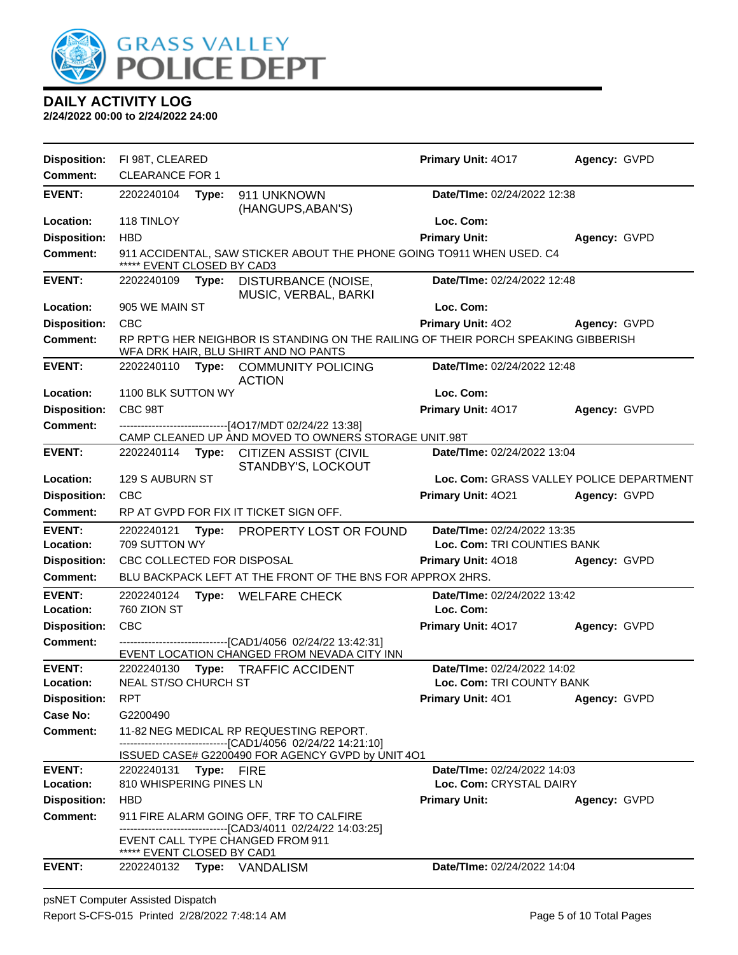

| <b>Disposition:</b>        | FI 98T, CLEARED             |       |                                                                                                                                             | Primary Unit: 4017                                         | Agency: GVPD                             |  |
|----------------------------|-----------------------------|-------|---------------------------------------------------------------------------------------------------------------------------------------------|------------------------------------------------------------|------------------------------------------|--|
| <b>Comment:</b>            | <b>CLEARANCE FOR 1</b>      |       |                                                                                                                                             |                                                            |                                          |  |
| <b>EVENT:</b>              | 2202240104                  | Type: | 911 UNKNOWN<br>(HANGUPS, ABAN'S)                                                                                                            | Date/TIme: 02/24/2022 12:38                                |                                          |  |
| Location:                  | 118 TINLOY                  |       |                                                                                                                                             | Loc. Com:                                                  |                                          |  |
| <b>Disposition:</b>        | <b>HBD</b>                  |       |                                                                                                                                             | <b>Primary Unit:</b>                                       | Agency: GVPD                             |  |
| <b>Comment:</b>            | EVENT CLOSED BY CAD3        |       | 911 ACCIDENTAL, SAW STICKER ABOUT THE PHONE GOING TO911 WHEN USED. C4                                                                       |                                                            |                                          |  |
| <b>EVENT:</b>              | 2202240109                  | Type: | DISTURBANCE (NOISE,<br>MUSIC, VERBAL, BARKI                                                                                                 | Date/TIme: 02/24/2022 12:48                                |                                          |  |
| Location:                  | 905 WE MAIN ST              |       |                                                                                                                                             | Loc. Com:                                                  |                                          |  |
| <b>Disposition:</b>        | <b>CBC</b>                  |       |                                                                                                                                             | <b>Primary Unit: 402</b>                                   | Agency: GVPD                             |  |
| <b>Comment:</b>            |                             |       | RP RPT'G HER NEIGHBOR IS STANDING ON THE RAILING OF THEIR PORCH SPEAKING GIBBERISH<br>WFA DRK HAIR, BLU SHIRT AND NO PANTS                  |                                                            |                                          |  |
| <b>EVENT:</b>              | 2202240110                  |       | Type: COMMUNITY POLICING<br><b>ACTION</b>                                                                                                   | Date/TIme: 02/24/2022 12:48                                |                                          |  |
| Location:                  | 1100 BLK SUTTON WY          |       |                                                                                                                                             | Loc. Com:                                                  |                                          |  |
| <b>Disposition:</b>        | CBC 98T                     |       |                                                                                                                                             | Primary Unit: 4017                                         | Agency: GVPD                             |  |
| <b>Comment:</b>            |                             |       | -------------------------[4O17/MDT 02/24/22 13:38]<br>CAMP CLEANED UP AND MOVED TO OWNERS STORAGE UNIT.98T                                  |                                                            |                                          |  |
| <b>EVENT:</b>              |                             |       | 2202240114 Type: CITIZEN ASSIST (CIVIL<br>STANDBY'S, LOCKOUT                                                                                | Date/TIme: 02/24/2022 13:04                                |                                          |  |
| Location:                  | 129 S AUBURN ST             |       |                                                                                                                                             |                                                            | Loc. Com: GRASS VALLEY POLICE DEPARTMENT |  |
| <b>Disposition:</b>        | <b>CBC</b>                  |       |                                                                                                                                             | Primary Unit: 4021                                         | Agency: GVPD                             |  |
| Comment:                   |                             |       | RP AT GVPD FOR FIX IT TICKET SIGN OFF.                                                                                                      |                                                            |                                          |  |
| <b>EVENT:</b><br>Location: | 2202240121<br>709 SUTTON WY |       | Type: PROPERTY LOST OR FOUND                                                                                                                | Date/TIme: 02/24/2022 13:35<br>Loc. Com: TRI COUNTIES BANK |                                          |  |
| <b>Disposition:</b>        | CBC COLLECTED FOR DISPOSAL  |       |                                                                                                                                             | <b>Primary Unit: 4018</b>                                  | Agency: GVPD                             |  |
| Comment:                   |                             |       | BLU BACKPACK LEFT AT THE FRONT OF THE BNS FOR APPROX 2HRS.                                                                                  |                                                            |                                          |  |
| <b>EVENT:</b><br>Location: | 2202240124<br>760 ZION ST   |       | Type: WELFARE CHECK                                                                                                                         | Date/TIme: 02/24/2022 13:42<br>Loc. Com:                   |                                          |  |
| <b>Disposition:</b>        | CBC                         |       |                                                                                                                                             | Primary Unit: 4017                                         | Agency: GVPD                             |  |
| <b>Comment:</b>            |                             |       | --------------------------[CAD1/4056_02/24/22 13:42:31]<br>EVENT LOCATION CHANGED FROM NEVADA CITY INN                                      |                                                            |                                          |  |
| <b>EVENT:</b>              | 2202240130                  | Type: | <b>TRAFFIC ACCIDENT</b>                                                                                                                     | Date/TIme: 02/24/2022 14:02                                |                                          |  |
| Location:                  | <b>NEAL ST/SO CHURCH ST</b> |       |                                                                                                                                             | Loc. Com: TRI COUNTY BANK                                  |                                          |  |
| <b>Disposition:</b>        | <b>RPT</b>                  |       |                                                                                                                                             | Primary Unit: 401                                          | Agency: GVPD                             |  |
| <b>Case No:</b>            | G2200490                    |       |                                                                                                                                             |                                                            |                                          |  |
| Comment:                   |                             |       | 11-82 NEG MEDICAL RP REQUESTING REPORT.<br>------------------------------[CAD1/4056_02/24/22 14:21:10]                                      |                                                            |                                          |  |
|                            |                             |       |                                                                                                                                             |                                                            |                                          |  |
| <b>EVENT:</b><br>Location: |                             |       | ISSUED CASE# G2200490 FOR AGENCY GVPD by UNIT 4O1                                                                                           |                                                            |                                          |  |
| <b>Disposition:</b>        | 2202240131 Type: FIRE       |       |                                                                                                                                             | Date/TIme: 02/24/2022 14:03                                |                                          |  |
|                            | 810 WHISPERING PINES LN     |       |                                                                                                                                             | Loc. Com: CRYSTAL DAIRY                                    |                                          |  |
|                            | <b>HBD</b>                  |       |                                                                                                                                             | <b>Primary Unit:</b>                                       | Agency: GVPD                             |  |
| <b>Comment:</b>            | ***** EVENT CLOSED BY CAD1  |       | 911 FIRE ALARM GOING OFF, TRF TO CALFIRE<br>------------------------------[CAD3/4011_02/24/22 14:03:25]<br>EVENT CALL TYPE CHANGED FROM 911 |                                                            |                                          |  |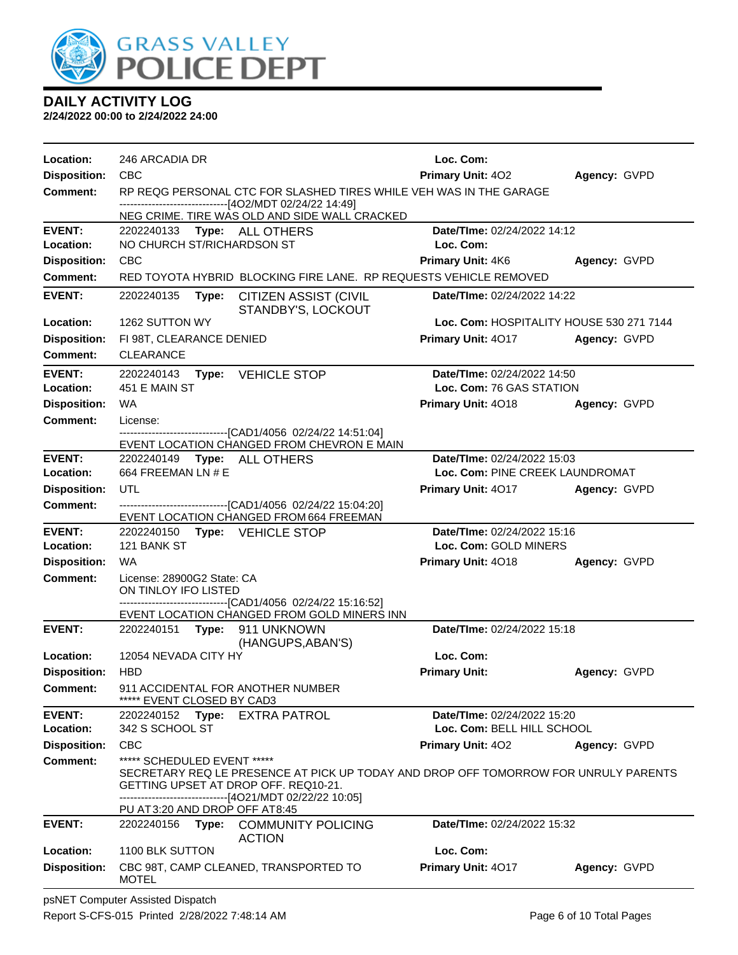

| Location:                              | 246 ARCADIA DR                                                                                                                                                                                                 | Loc. Com:                                      |              |  |  |
|----------------------------------------|----------------------------------------------------------------------------------------------------------------------------------------------------------------------------------------------------------------|------------------------------------------------|--------------|--|--|
| <b>Disposition:</b>                    | <b>CBC</b>                                                                                                                                                                                                     | <b>Primary Unit: 402</b>                       | Agency: GVPD |  |  |
| <b>Comment:</b>                        | RP REQG PERSONAL CTC FOR SLASHED TIRES WHILE VEH WAS IN THE GARAGE                                                                                                                                             |                                                |              |  |  |
|                                        | ------------------------------[4O2/MDT 02/24/22 14:49]<br>NEG CRIME. TIRE WAS OLD AND SIDE WALL CRACKED                                                                                                        |                                                |              |  |  |
| <b>EVENT:</b>                          | 2202240133 Type: ALL OTHERS                                                                                                                                                                                    | Date/TIme: 02/24/2022 14:12                    |              |  |  |
| Location:                              | NO CHURCH ST/RICHARDSON ST                                                                                                                                                                                     | Loc. Com:                                      |              |  |  |
| <b>Disposition:</b>                    | <b>CBC</b>                                                                                                                                                                                                     | <b>Primary Unit: 4K6</b>                       | Agency: GVPD |  |  |
| <b>Comment:</b>                        | RED TOYOTA HYBRID BLOCKING FIRE LANE. RP REQUESTS VEHICLE REMOVED                                                                                                                                              |                                                |              |  |  |
| <b>EVENT:</b>                          | 2202240135<br>Type:<br><b>CITIZEN ASSIST (CIVIL</b><br>STANDBY'S, LOCKOUT                                                                                                                                      | <b>Date/Time: 02/24/2022 14:22</b>             |              |  |  |
| Location:                              | 1262 SUTTON WY                                                                                                                                                                                                 | Loc. Com: HOSPITALITY HOUSE 530 271 7144       |              |  |  |
| <b>Disposition:</b>                    | FI 98T, CLEARANCE DENIED                                                                                                                                                                                       | <b>Primary Unit: 4017</b>                      | Agency: GVPD |  |  |
| <b>Comment:</b>                        | <b>CLEARANCE</b>                                                                                                                                                                                               |                                                |              |  |  |
| <b>EVENT:</b>                          | 2202240143 Type: VEHICLE STOP<br>451 E MAIN ST                                                                                                                                                                 | Date/TIme: 02/24/2022 14:50                    |              |  |  |
| Location:<br><b>Disposition:</b>       | WA                                                                                                                                                                                                             | Loc. Com: 76 GAS STATION<br>Primary Unit: 4018 | Agency: GVPD |  |  |
| <b>Comment:</b>                        | License:                                                                                                                                                                                                       |                                                |              |  |  |
|                                        | -------------------------[CAD1/4056_02/24/22_14:51:04]                                                                                                                                                         |                                                |              |  |  |
|                                        | EVENT LOCATION CHANGED FROM CHEVRON E MAIN                                                                                                                                                                     |                                                |              |  |  |
| <b>EVENT:</b>                          | 2202240149    Type: ALL OTHERS                                                                                                                                                                                 | Date/TIme: 02/24/2022 15:03                    |              |  |  |
| Location:                              | 664 FREEMAN LN # E<br><b>UTL</b>                                                                                                                                                                               | Loc. Com: PINE CREEK LAUNDROMAT                |              |  |  |
| <b>Disposition:</b><br><b>Comment:</b> | ----------------------------------[CAD1/4056 02/24/22 15:04:20]                                                                                                                                                | <b>Primary Unit: 4017</b>                      | Agency: GVPD |  |  |
|                                        | EVENT LOCATION CHANGED FROM 664 FREEMAN                                                                                                                                                                        |                                                |              |  |  |
| <b>EVENT:</b>                          | 2202240150 Type: VEHICLE STOP                                                                                                                                                                                  | Date/TIme: 02/24/2022 15:16                    |              |  |  |
| Location:                              | 121 BANK ST                                                                                                                                                                                                    | Loc. Com: GOLD MINERS                          |              |  |  |
| <b>Disposition:</b>                    | WA                                                                                                                                                                                                             | Primary Unit: 4018                             | Agency: GVPD |  |  |
| <b>Comment:</b>                        | License: 28900G2 State: CA<br>ON TINLOY IFO LISTED                                                                                                                                                             |                                                |              |  |  |
|                                        | -------------------------------[CAD1/4056_02/24/22 15:16:52]                                                                                                                                                   |                                                |              |  |  |
|                                        | EVENT LOCATION CHANGED FROM GOLD MINERS INN                                                                                                                                                                    |                                                |              |  |  |
| <b>EVENT:</b>                          | 2202240151 <b>Type:</b><br>911 UNKNOWN<br>(HANGUPS, ABAN'S)                                                                                                                                                    | Date/TIme: 02/24/2022 15:18                    |              |  |  |
| Location:                              | 12054 NEVADA CITY HY                                                                                                                                                                                           | Loc. Com:                                      |              |  |  |
| <b>Disposition:</b>                    | <b>HBD</b>                                                                                                                                                                                                     | <b>Primary Unit:</b>                           | Agency: GVPD |  |  |
| <b>Comment:</b>                        | 911 ACCIDENTAL FOR ANOTHER NUMBER<br>***** EVENT CLOSED BY CAD3                                                                                                                                                |                                                |              |  |  |
| <b>EVENT:</b>                          | Type:<br><b>EXTRA PATROL</b><br>2202240152                                                                                                                                                                     | Date/TIme: 02/24/2022 15:20                    |              |  |  |
| Location:                              | 342 S SCHOOL ST                                                                                                                                                                                                | Loc. Com: BELL HILL SCHOOL                     |              |  |  |
| <b>Disposition:</b>                    | <b>CBC</b>                                                                                                                                                                                                     | <b>Primary Unit: 402</b>                       | Agency: GVPD |  |  |
| <b>Comment:</b>                        | ***** SCHEDULED EVENT *****<br>SECRETARY REQ LE PRESENCE AT PICK UP TODAY AND DROP OFF TOMORROW FOR UNRULY PARENTS<br>GETTING UPSET AT DROP OFF, REQ10-21.<br>-----------------------[4O21/MDT 02/22/22 10:05] |                                                |              |  |  |
| <b>EVENT:</b>                          | PU AT 3:20 AND DROP OFF AT 8:45<br>2202240156                                                                                                                                                                  | Date/TIme: 02/24/2022 15:32                    |              |  |  |
|                                        | Type:<br><b>COMMUNITY POLICING</b><br><b>ACTION</b>                                                                                                                                                            |                                                |              |  |  |
| Location:                              | 1100 BLK SUTTON                                                                                                                                                                                                | Loc. Com:                                      |              |  |  |
| <b>Disposition:</b>                    | CBC 98T, CAMP CLEANED, TRANSPORTED TO<br><b>MOTEL</b>                                                                                                                                                          | Primary Unit: 4017                             | Agency: GVPD |  |  |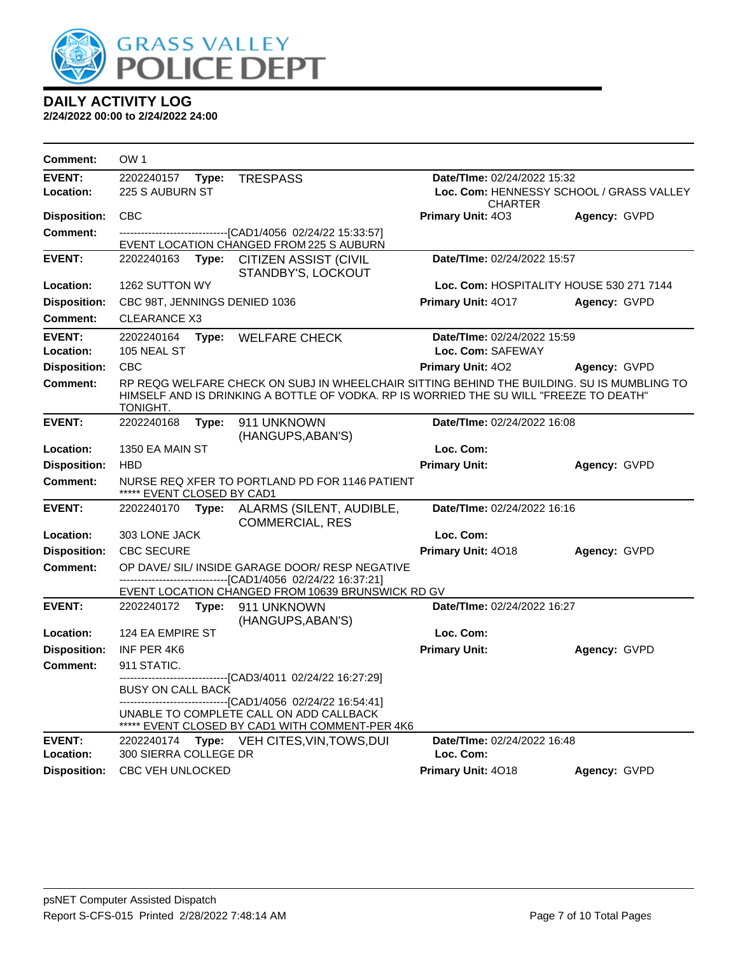

| <b>Comment:</b>            | OW <sub>1</sub>                     |       |                                                                                                                                                                                      |                                                            |              |
|----------------------------|-------------------------------------|-------|--------------------------------------------------------------------------------------------------------------------------------------------------------------------------------------|------------------------------------------------------------|--------------|
| <b>EVENT:</b>              | 2202240157                          | Type: | <b>TRESPASS</b>                                                                                                                                                                      | Date/TIme: 02/24/2022 15:32                                |              |
| Location:                  | 225 S AUBURN ST                     |       |                                                                                                                                                                                      | Loc. Com: HENNESSY SCHOOL / GRASS VALLEY<br><b>CHARTER</b> |              |
| <b>Disposition:</b>        | <b>CBC</b>                          |       |                                                                                                                                                                                      | <b>Primary Unit: 403</b>                                   | Agency: GVPD |
| <b>Comment:</b>            |                                     |       | --------------------[CAD1/4056_02/24/22 15:33:57]<br>EVENT LOCATION CHANGED FROM 225 S AUBURN                                                                                        |                                                            |              |
| <b>EVENT:</b>              | 2202240163                          | Type: | <b>CITIZEN ASSIST (CIVIL</b><br>STANDBY'S, LOCKOUT                                                                                                                                   | Date/TIme: 02/24/2022 15:57                                |              |
| Location:                  | 1262 SUTTON WY                      |       |                                                                                                                                                                                      | Loc. Com: HOSPITALITY HOUSE 530 271 7144                   |              |
| <b>Disposition:</b>        | CBC 98T, JENNINGS DENIED 1036       |       |                                                                                                                                                                                      | Primary Unit: 4017                                         | Agency: GVPD |
| <b>Comment:</b>            | <b>CLEARANCE X3</b>                 |       |                                                                                                                                                                                      |                                                            |              |
| <b>EVENT:</b><br>Location: | 2202240164<br>105 NEAL ST           | Type: | <b>WELFARE CHECK</b>                                                                                                                                                                 | Date/TIme: 02/24/2022 15:59<br>Loc. Com: SAFEWAY           |              |
| <b>Disposition:</b>        | <b>CBC</b>                          |       |                                                                                                                                                                                      | <b>Primary Unit: 402</b>                                   | Agency: GVPD |
| <b>Comment:</b>            | TONIGHT.                            |       | RP REQG WELFARE CHECK ON SUBJ IN WHEELCHAIR SITTING BEHIND THE BUILDING. SU IS MUMBLING TO<br>HIMSELF AND IS DRINKING A BOTTLE OF VODKA. RP IS WORRIED THE SU WILL "FREEZE TO DEATH" |                                                            |              |
| <b>EVENT:</b>              | 2202240168                          | Type: | 911 UNKNOWN<br>(HANGUPS, ABAN'S)                                                                                                                                                     | Date/TIme: 02/24/2022 16:08                                |              |
| Location:                  | 1350 EA MAIN ST                     |       |                                                                                                                                                                                      | Loc. Com:                                                  |              |
| <b>Disposition:</b>        | <b>HBD</b>                          |       |                                                                                                                                                                                      | <b>Primary Unit:</b>                                       | Agency: GVPD |
| <b>Comment:</b>            | ***** EVENT CLOSED BY CAD1          |       | NURSE REQ XFER TO PORTLAND PD FOR 1146 PATIENT                                                                                                                                       |                                                            |              |
| <b>EVENT:</b>              | 2202240170                          | Type: | ALARMS (SILENT, AUDIBLE,<br><b>COMMERCIAL, RES</b>                                                                                                                                   | Date/TIme: 02/24/2022 16:16                                |              |
| Location:                  | 303 LONE JACK                       |       |                                                                                                                                                                                      | Loc. Com:                                                  |              |
| <b>Disposition:</b>        | <b>CBC SECURE</b>                   |       |                                                                                                                                                                                      | Primary Unit: 4018                                         | Agency: GVPD |
| <b>Comment:</b>            |                                     |       | OP DAVE/ SIL/ INSIDE GARAGE DOOR/ RESP NEGATIVE                                                                                                                                      |                                                            |              |
|                            |                                     |       | -------------------------------[CAD1/4056_02/24/22 16:37:21]<br>EVENT LOCATION CHANGED FROM 10639 BRUNSWICK RD GV                                                                    |                                                            |              |
| <b>EVENT:</b>              | 2202240172                          | Type: | 911 UNKNOWN<br>(HANGUPS, ABAN'S)                                                                                                                                                     | Date/TIme: 02/24/2022 16:27                                |              |
| Location:                  | 124 EA EMPIRE ST                    |       |                                                                                                                                                                                      | Loc. Com:                                                  |              |
| <b>Disposition:</b>        | INF PER 4K6                         |       |                                                                                                                                                                                      | <b>Primary Unit:</b>                                       | Agency: GVPD |
| Comment:                   | 911 STATIC.                         |       |                                                                                                                                                                                      |                                                            |              |
|                            | <b>BUSY ON CALL BACK</b>            |       | ----------------[CAD3/4011_02/24/22_16:27:29]<br>------------------------------[CAD1/4056 02/24/22 16:54:41]                                                                         |                                                            |              |
|                            |                                     |       | UNABLE TO COMPLETE CALL ON ADD CALLBACK<br>***** EVENT CLOSED BY CAD1 WITH COMMENT-PER 4K6                                                                                           |                                                            |              |
| <b>EVENT:</b><br>Location: | 2202240174<br>300 SIERRA COLLEGE DR |       | Type: VEH CITES, VIN, TOWS, DUI                                                                                                                                                      | Date/TIme: 02/24/2022 16:48<br>Loc. Com:                   |              |
| Disposition:               | <b>CBC VEH UNLOCKED</b>             |       |                                                                                                                                                                                      | Primary Unit: 4018                                         | Agency: GVPD |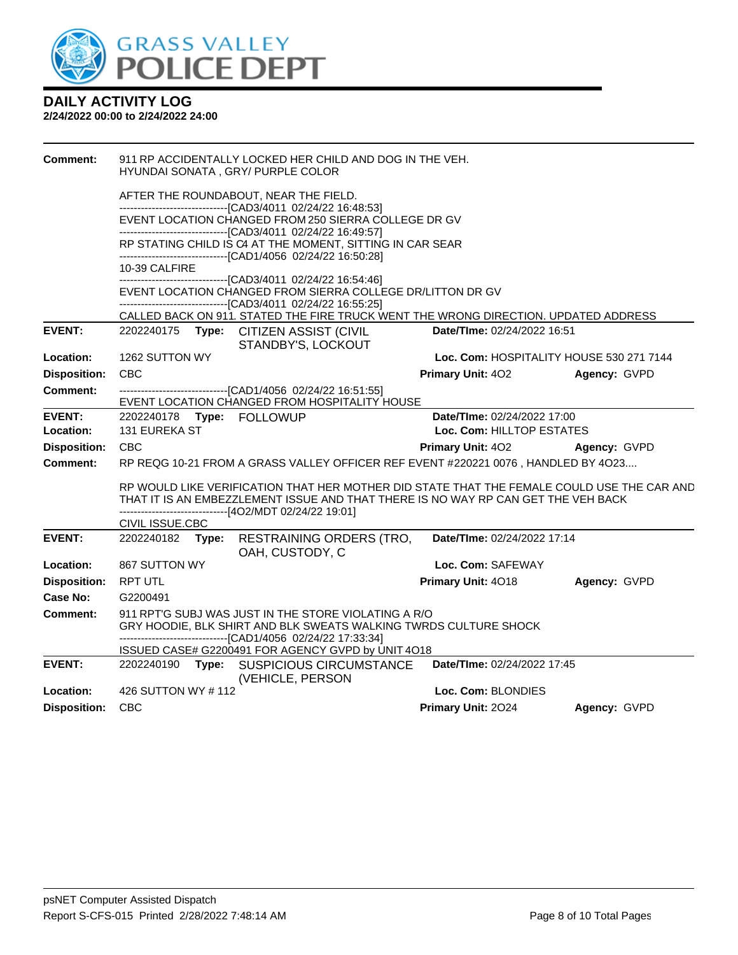

| <b>Comment:</b>     |                                            | 911 RP ACCIDENTALLY LOCKED HER CHILD AND DOG IN THE VEH.<br>HYUNDAI SONATA, GRY/ PURPLE COLOR                                                                                            |                                                          |              |
|---------------------|--------------------------------------------|------------------------------------------------------------------------------------------------------------------------------------------------------------------------------------------|----------------------------------------------------------|--------------|
|                     |                                            | AFTER THE ROUNDABOUT, NEAR THE FIELD.                                                                                                                                                    |                                                          |              |
|                     |                                            | ------------------------[CAD3/4011_02/24/22_16:48:53]<br>EVENT LOCATION CHANGED FROM 250 SIERRA COLLEGE DR GV                                                                            |                                                          |              |
|                     |                                            | ------------------------[CAD3/4011_02/24/22_16:49:57]<br>RP STATING CHILD IS C4 AT THE MOMENT, SITTING IN CAR SEAR<br>-------------------------------[CAD1/4056 02/24/22 16:50:28]       |                                                          |              |
|                     | 10-39 CALFIRE                              |                                                                                                                                                                                          |                                                          |              |
|                     |                                            | -----------------------------[CAD3/4011_02/24/22 16:54:46]<br>EVENT LOCATION CHANGED FROM SIERRA COLLEGE DR/LITTON DR GV<br>-------------------------------[CAD3/4011 02/24/22 16:55:25] |                                                          |              |
|                     |                                            | CALLED BACK ON 911. STATED THE FIRE TRUCK WENT THE WRONG DIRECTION. UPDATED ADDRESS                                                                                                      |                                                          |              |
| <b>EVENT:</b>       |                                            | 2202240175 Type: CITIZEN ASSIST (CIVIL<br>STANDBY'S, LOCKOUT                                                                                                                             | Date/TIme: 02/24/2022 16:51                              |              |
| Location:           | 1262 SUTTON WY                             |                                                                                                                                                                                          | Loc. Com: HOSPITALITY HOUSE 530 271 7144                 |              |
| <b>Disposition:</b> | <b>CBC</b>                                 |                                                                                                                                                                                          | Primary Unit: 402                                        | Agency: GVPD |
| Comment:            |                                            | -------------------------------[CAD1/4056 02/24/22 16:51:55]                                                                                                                             |                                                          |              |
| <b>EVENT:</b>       |                                            | EVENT LOCATION CHANGED FROM HOSPITALITY HOUSE                                                                                                                                            |                                                          |              |
| Location:           | 2202240178 Type: FOLLOWUP<br>131 EUREKA ST |                                                                                                                                                                                          | Date/TIme: 02/24/2022 17:00<br>Loc. Com: HILLTOP ESTATES |              |
| <b>Disposition:</b> | <b>CBC</b>                                 |                                                                                                                                                                                          | <b>Primary Unit: 402</b>                                 | Agency: GVPD |
| <b>Comment:</b>     |                                            | RP REQG 10-21 FROM A GRASS VALLEY OFFICER REF EVENT #220221 0076, HANDLED BY 4O23                                                                                                        |                                                          |              |
|                     |                                            |                                                                                                                                                                                          |                                                          |              |
|                     |                                            | RP WOULD LIKE VERIFICATION THAT HER MOTHER DID STATE THAT THE FEMALE COULD USE THE CAR AND                                                                                               |                                                          |              |
|                     |                                            | THAT IT IS AN EMBEZZLEMENT ISSUE AND THAT THERE IS NO WAY RP CAN GET THE VEH BACK<br>-------------------------------[4O2/MDT 02/24/22 19:01]                                             |                                                          |              |
|                     | CIVIL ISSUE.CBC                            |                                                                                                                                                                                          |                                                          |              |
| <b>EVENT:</b>       | 2202240182 Type:                           | <b>RESTRAINING ORDERS (TRO,</b><br>OAH, CUSTODY, C                                                                                                                                       | Date/TIme: 02/24/2022 17:14                              |              |
| Location:           | 867 SUTTON WY                              |                                                                                                                                                                                          | Loc. Com: SAFEWAY                                        |              |
| <b>Disposition:</b> | <b>RPT UTL</b>                             |                                                                                                                                                                                          | Primary Unit: 4018                                       | Agency: GVPD |
| <b>Case No:</b>     | G2200491                                   |                                                                                                                                                                                          |                                                          |              |
| <b>Comment:</b>     |                                            | 911 RPT'G SUBJ WAS JUST IN THE STORE VIOLATING A R/O<br>GRY HOODIE, BLK SHIRT AND BLK SWEATS WALKING TWRDS CULTURE SHOCK<br>-------------------------------[CAD1/4056 02/24/22 17:33:34] |                                                          |              |
|                     |                                            | ISSUED CASE# G2200491 FOR AGENCY GVPD by UNIT 4O18                                                                                                                                       |                                                          |              |
| <b>EVENT:</b>       |                                            | 2202240190 Type: SUSPICIOUS CIRCUMSTANCE<br>(VEHICLE, PERSON                                                                                                                             | Date/TIme: 02/24/2022 17:45                              |              |
| Location:           | 426 SUTTON WY #112                         |                                                                                                                                                                                          | Loc. Com: BLONDIES                                       |              |
| <b>Disposition:</b> | <b>CBC</b>                                 |                                                                                                                                                                                          | Primary Unit: 2024                                       | Agency: GVPD |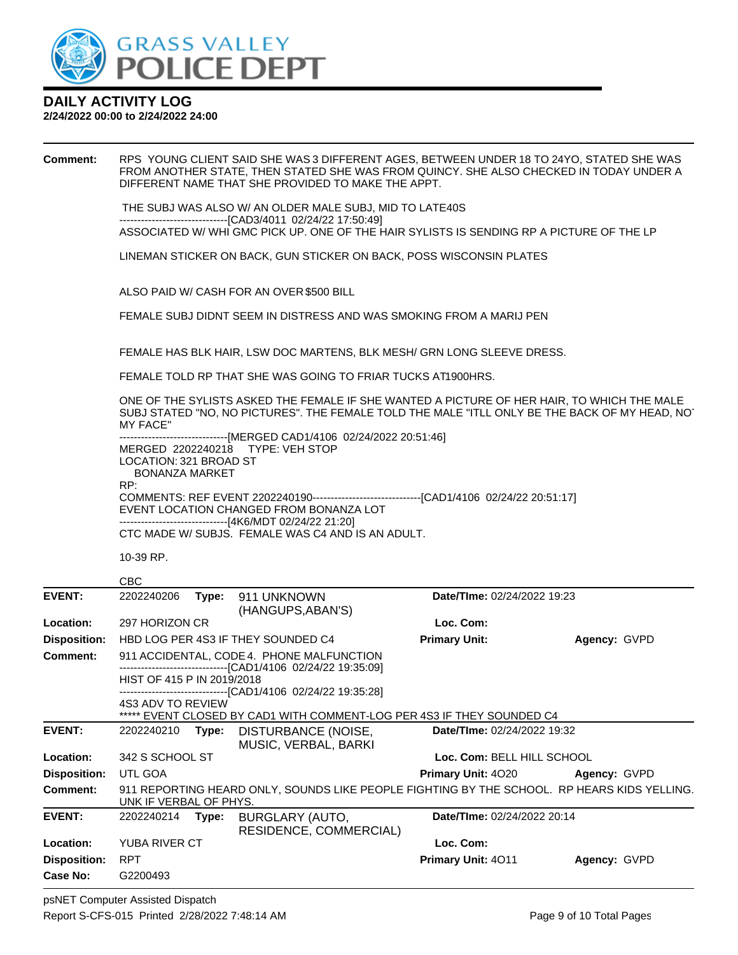

#### **2/24/2022 00:00 to 2/24/2022 24:00**

**Comment:** RPS YOUNG CLIENT SAID SHE WAS 3 DIFFERENT AGES, BETWEEN UNDER 18 TO 24YO, STATED SHE WAS FROM ANOTHER STATE, THEN STATED SHE WAS FROM QUINCY. SHE ALSO CHECKED IN TODAY UNDER A DIFFERENT NAME THAT SHE PROVIDED TO MAKE THE APPT. THE SUBJ WAS ALSO W/ AN OLDER MALE SUBJ, MID TO LATE40S ------------------------------[CAD3/4011 02/24/22 17:50:49] ASSOCIATED W/ WHI GMC PICK UP. ONE OF THE HAIR SYLISTS IS SENDING RP A PICTURE OF THE LP LINEMAN STICKER ON BACK, GUN STICKER ON BACK, POSS WISCONSIN PLATES ALSO PAID W/ CASH FOR AN OVER \$500 BILL FEMALE SUBJ DIDNT SEEM IN DISTRESS AND WAS SMOKING FROM A MARIJ PEN FEMALE HAS BLK HAIR, LSW DOC MARTENS, BLK MESH/ GRN LONG SLEEVE DRESS. FEMALE TOLD RP THAT SHE WAS GOING TO FRIAR TUCKS AT1900HRS. ONE OF THE SYLISTS ASKED THE FEMALE IF SHE WANTED A PICTURE OF HER HAIR, TO WHICH THE MALE SUBJ STATED "NO, NO PICTURES". THE FEMALE TOLD THE MALE "ITLL ONLY BE THE BACK OF MY HEAD, NOT MY FACE" -------[MERGED CAD1/4106 02/24/2022 20:51:46] MERGED 2202240218 TYPE: VEH STOP LOCATION: 321 BROAD ST BONANZA MARKET RP: COMMENTS: REF EVENT 2202240190------------------------------[CAD1/4106 02/24/22 20:51:17] EVENT LOCATION CHANGED FROM BONANZA LOT ------------------------------[4K6/MDT 02/24/22 21:20] CTC MADE W/ SUBJS. FEMALE WAS C4 AND IS AN ADULT. 10-39 RP. CBC **EVENT:** 2202240206 **Type:** 911 UNKNOWN (HANGUPS,ABAN'S) **Date/TIme:** 02/24/2022 19:23 **Location:** 297 HORIZON CR **Loc. Com: Disposition:** HBD LOG PER 4S3 IF THEY SOUNDED C4 **Primary Unit: Agency:** GVPD **Comment:** 911 ACCIDENTAL, CODE 4. PHONE MALFUNCTION ------------------------------[CAD1/4106 02/24/22 19:35:09] HIST OF 415 P IN 2019/2018 ------------------------------[CAD1/4106 02/24/22 19:35:28] 4S3 ADV TO REVIEW \*\*\*\*\* EVENT CLOSED BY CAD1 WITH COMMENT-LOG PER 4S3 IF THEY SOUNDED C4 **EVENT:** 2202240210 **Type:** DISTURBANCE (NOISE, MUSIC, VERBAL, BARKI **Date/TIme:** 02/24/2022 19:32 **Location:** 342 S SCHOOL ST **Loc. Com:** BELL HILL SCHOOL **Disposition:** UTL GOA **Primary Unit:** 4O20 **Agency:** GVPD **Comment:** 911 REPORTING HEARD ONLY, SOUNDS LIKE PEOPLE FIGHTING BY THE SCHOOL. RP HEARS KIDS YELLING. UNK IF VERBAL OF PHYS. **EVENT:** 2202240214 **Type:** BURGLARY (AUTO, RESIDENCE, COMMERCIAL) **Date/TIme:** 02/24/2022 20:14

psNET Computer Assisted Dispatch Report S-CFS-015 Printed 2/28/2022 7:48:14 AM Page 9 of 10 Total Pages

**Case No:** G2200493

**Location:** YUBA RIVER CT **Loc. Com:**

**Disposition:** RPT **Primary Unit:** 4O11 **Agency:** GVPD